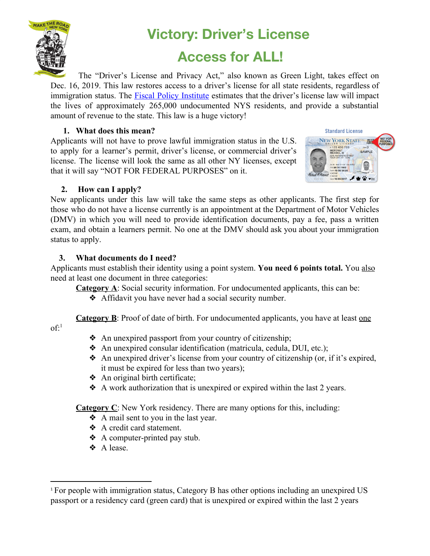

# **Victory: Driver's License**

# **Access for ALL!**

The "Driver's License and Privacy Act," also known as Green Light, takes effect on Dec. 16, 2019. This law restores access to a driver's license for all state residents, regardless of immigration status. The **Fiscal Policy [Institute](http://fiscalpolicy.org/driving)** estimates that the driver's license law will impact the lives of approximately 265,000 undocumented NYS residents, and provide a substantial amount of revenue to the state. This law is a huge victory!

## **1. What does this mean?**

Applicants will not have to prove lawful immigration status in the U.S. to apply for a learner's permit, driver's license, or commercial driver's license. The license will look the same as all other NY licenses, except that it will say "NOT FOR FEDERAL PURPOSES" on it.



## **2. How can I apply?**

New applicants under this law will take the same steps as other applicants. The first step for those who do not have a license currently is an appointment at the Department of Motor Vehicles (DMV) in which you will need to provide identification documents, pay a fee, pass a written exam, and obtain a learners permit. No one at the DMV should ask you about your immigration status to apply.

## **3. What documents do I need?**

Applicants must establish their identity using a point system. **You need 6 points total.** You also need at least one document in three categories:

- **Category A**: Social security information. For undocumented applicants, this can be:
	- ❖ Affidavit you have never had a social security number.

**Category B**: Proof of date of birth. For undocumented applicants, you have at least one

 $\mathrm{of}$ :<sup>1</sup>

- ❖ An unexpired passport from your country of citizenship;
- ❖ An unexpired consular identification (matricula, cedula, DUI, etc.);
- ❖ An unexpired driver's license from your country of citizenship (or, if it's expired, it must be expired for less than two years);
- ❖ An original birth certificate;
- ❖ A work authorization that is unexpired or expired within the last 2 years.

**Category C**: New York residency. There are many options for this, including:

- ❖ A mail sent to you in the last year.
- ❖ A credit card statement.
- ❖ A computer-printed pay stub.
- ❖ A lease.

<sup>1</sup> For people with immigration status, Category B has other options including an unexpired US passport or a residency card (green card) that is unexpired or expired within the last 2 years